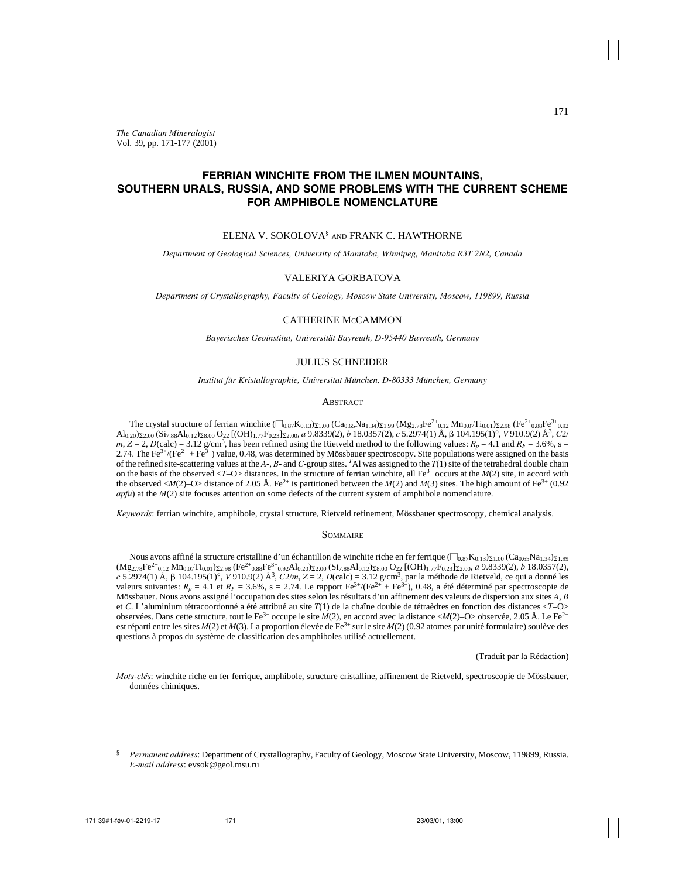# **FERRIAN WINCHITE FROM THE ILMEN MOUNTAINS, SOUTHERN URALS, RUSSIA, AND SOME PROBLEMS WITH THE CURRENT SCHEME FOR AMPHIBOLE NOMENCLATURE**

# ELENA V. SOKOLOVA§ AND FRANK C. HAWTHORNE

*Department of Geological Sciences, University of Manitoba, Winnipeg, Manitoba R3T 2N2, Canada*

# VALERIYA GORBATOVA

*Department of Crystallography, Faculty of Geology, Moscow State University, Moscow, 119899, Russia*

# CATHERINE McCAMMON

*Bayerisches Geoinstitut, Universität Bayreuth, D-95440 Bayreuth, Germany*

# JULIUS SCHNEIDER

*Institut für Kristallographie, Universitat München, D-80333 München, Germany*

### **ABSTRACT**

The crystal structure of ferrian winchite  $(\square_{0.87}K_{0.13})_{\Sigma1.00}$   $(Ca_{0.65}Na_{1.34})_{\Sigma1.99}$   $(Mg_{2.78}Fe^{2+}{}_{0.12}Mn_{0.07}Ti_{0.01})_{\Sigma2.98}$   $(Fe^{2+}{}_{0.88}Fe^{3+}{}_{0.92}$  $\text{Al}_{0.20}\text{S}_{2.00}$  (Si<sub>7.88</sub>Al<sub>0.12</sub>)<sub>S.8.00</sub> O<sub>22</sub> [(OH)<sub>1.77</sub>F<sub>0.23</sub>]<sub>S.2.00</sub>, *a* 9.8339(2), *b* 18.0357(2), *c* 5.2974(1) Å, β 104.195(1)°, *V* 910.9(2) Å<sup>3</sup>, C2/  $m, Z = 2$ ,  $D$ (calc) = 3.12 g/cm<sup>3</sup>, has been refined using the Rietveld method to the following values:  $R_p = 4.1$  and  $R_f = 3.6\%$ , s 2.74. The Fe<sup>3+</sup>/(Fe<sup>2+</sup> + Fe<sup>3+</sup>) value, 0.48, was determined by Mössbauer spectroscopy. Site populations were assigned on the basis of the refined site-scattering values at the *A*-, *B*- and *C*-group sites. *<sup>T</sup>*Al was assigned to the *T*(1) site of the tetrahedral double chain on the basis of the observed  $\langle T - O \rangle$  distances. In the structure of ferrian winchite, all Fe<sup>3+</sup> occurs at the *M*(2) site, in accord with the observed  $\langle M(2)-O \rangle$  distance of 2.05 Å. Fe<sup>2+</sup> is partitioned between the  $M(2)$  and  $M(3)$  sites. The high amount of Fe<sup>3+</sup> (0.92) *apfu*) at the *M*(2) site focuses attention on some defects of the current system of amphibole nomenclature.

*Keywords*: ferrian winchite, amphibole, crystal structure, Rietveld refinement, Mössbauer spectroscopy, chemical analysis.

# **SOMMAIRE**

Nous avons affiné la structure cristalline d'un échantillon de winchite riche en fer ferrique  $(\Box_{0.87}K_{0.13})_{\Sigma1.00}$  (Ca<sub>0.65</sub>Na<sub>1.34</sub>)<sub>2.1.99</sub> (Mg2.78Fe2+0.12 Mn0.07Ti0.01)2.98 (Fe2+0.88Fe3+0.92Al0.20)2.00 (Si7.88Al0.12)8.00 O22 [(OH)1.77F0.23]2.00, *a* 9.8339(2), *b* 18.0357(2), *c* 5.2974(1) Å, β 104.195(1)°, *V* 910.9(2) Å<sup>3</sup>, *C*2/*m*, *Z* = 2, *D*(calc) = 3.12 g/cm<sup>3</sup>, par la méthode de Rietveld, ce qui a donné les valeurs suivantes:  $R_p = 4.1$  et  $R_F = 3.6\%$ , s = 2.74. Le rapport  $Fe^{3+}/(Fe^{2+} + Fe^{3+})$ , 0.48, a été déterminé par spectroscopie de Mössbauer. Nous avons assigné l'occupation des sites selon les résultats d'un affinement des valeurs de dispersion aux sites *A*, *B* et *C*. L'aluminium tétracoordonné a été attribué au site *T*(1) de la chaîne double de tétraèdres en fonction des distances <*T*–O> observées. Dans cette structure, tout le Fe3+ occupe le site *M*(2), en accord avec la distance <*M*(2)–O> observée, 2.05 Å. Le Fe2+ est réparti entre les sites *M*(2) et *M*(3). La proportion élevée de Fe<sup>3+</sup> sur le site *M*(2) (0.92 atomes par unité formulaire) soulève des questions à propos du système de classification des amphiboles utilisé actuellement.

(Traduit par la Rédaction)

*Mots-clés*: winchite riche en fer ferrique, amphibole, structure cristalline, affinement de Rietveld, spectroscopie de Mössbauer, données chimiques.

<sup>§</sup> *Permanent address*: Department of Crystallography, Faculty of Geology, Moscow State University, Moscow, 119899, Russia. *E-mail address*: evsok@geol.msu.ru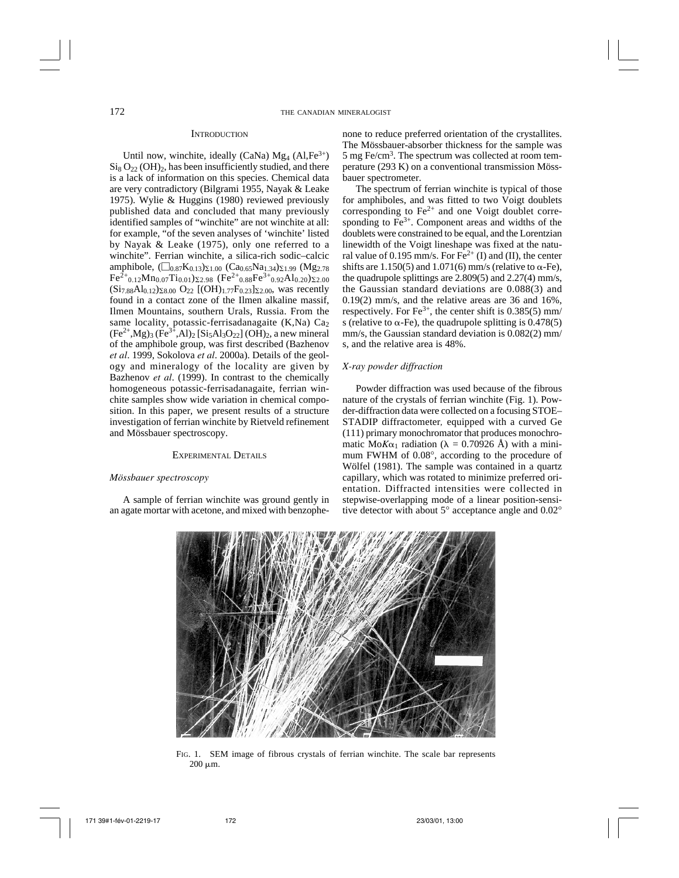### **INTRODUCTION**

Until now, winchite, ideally (CaNa)  $Mg_4$  (Al, Fe<sup>3+</sup>)  $\mathrm{Si}_8\mathrm{O}_{22}$  (OH)<sub>2</sub>, has been insufficiently studied, and there is a lack of information on this species. Chemical data are very contradictory (Bilgrami 1955, Nayak & Leake 1975). Wylie & Huggins (1980) reviewed previously published data and concluded that many previously identified samples of "winchite" are not winchite at all: for example, "of the seven analyses of 'winchite' listed by Nayak & Leake (1975), only one referred to a winchite". Ferrian winchite, a silica-rich sodic–calcic amphibole,  $(\square_{0.87}K_{0.13})_{\Sigma1.00}$   $(Ca_{0.65}Na_{1.34})_{\Sigma1.99}$   $(Mg_{2.78})$  $Fe^{2+}_{0.12}Mn_{0.07}Ti_{0.01}$ )  $\Sigma_{2.98}$  (Fe<sup>2+</sup><sub>0.88</sub>Fe<sup>3+</sup><sub>0.92</sub>Al<sub>0.20</sub>)  $\Sigma_{2.00}$  $(Si_{7.88}Al_{0.12})_{\Sigma 8.00}$  O<sub>22</sub> [(OH)<sub>1.77</sub>F<sub>0.23</sub>]<sub> $\Sigma$ 2.00</sub>, was recently found in a contact zone of the Ilmen alkaline massif, Ilmen Mountains, southern Urals, Russia. From the same locality, potassic-ferrisadanagaite  $(K,Na)$  Ca<sub>2</sub>  $(Fe^{2+}, Mg)_3$   $(Fe^{3+}, Al)_2$  [Si<sub>5</sub>Al<sub>3</sub>O<sub>22</sub>] (OH)<sub>2</sub>, a new mineral of the amphibole group, was first described (Bazhenov *et al*. 1999, Sokolova *et al*. 2000a). Details of the geology and mineralogy of the locality are given by Bazhenov *et al*. (1999). In contrast to the chemically homogeneous potassic-ferrisadanagaite, ferrian winchite samples show wide variation in chemical composition. In this paper, we present results of a structure investigation of ferrian winchite by Rietveld refinement and Mössbauer spectroscopy.

# EXPERIMENTAL DETAILS

### *Mössbauer spectroscopy*

A sample of ferrian winchite was ground gently in an agate mortar with acetone, and mixed with benzophenone to reduce preferred orientation of the crystallites. The Mössbauer-absorber thickness for the sample was  $5 \text{ mg}$  Fe/cm<sup>3</sup>. The spectrum was collected at room temperature (293 K) on a conventional transmission Mössbauer spectrometer.

The spectrum of ferrian winchite is typical of those for amphiboles, and was fitted to two Voigt doublets corresponding to  $Fe<sup>2+</sup>$  and one Voigt doublet corresponding to  $\overline{Fe}^{3+}$ . Component areas and widths of the doublets were constrained to be equal, and the Lorentzian linewidth of the Voigt lineshape was fixed at the natural value of 0.195 mm/s. For  $\vec{Fe}^{2+}$  (I) and (II), the center shifts are 1.150(5) and 1.071(6) mm/s (relative to  $\alpha$ -Fe), the quadrupole splittings are 2.809(5) and 2.27(4) mm/s, the Gaussian standard deviations are 0.088(3) and 0.19(2) mm/s, and the relative areas are 36 and 16%, respectively. For Fe<sup>3+</sup>, the center shift is  $0.385(5)$  mm/ s (relative to  $\alpha$ -Fe), the quadrupole splitting is 0.478(5) mm/s, the Gaussian standard deviation is 0.082(2) mm/ s, and the relative area is 48%.

# *X-ray powder diffraction*

Powder diffraction was used because of the fibrous nature of the crystals of ferrian winchite (Fig. 1). Powder-diffraction data were collected on a focusing STOE– STADIP diffractometer*,* equipped with a curved Ge (111) primary monochromator that produces monochromatic Mo $K\alpha_1$  radiation ( $\lambda = 0.70926$  Å) with a minimum FWHM of 0.08°, according to the procedure of Wölfel (1981). The sample was contained in a quartz capillary, which was rotated to minimize preferred orientation. Diffracted intensities were collected in stepwise-overlapping mode of a linear position-sensitive detector with about 5° acceptance angle and 0.02°



FIG. 1. SEM image of fibrous crystals of ferrian winchite. The scale bar represents  $200 \mu m$ .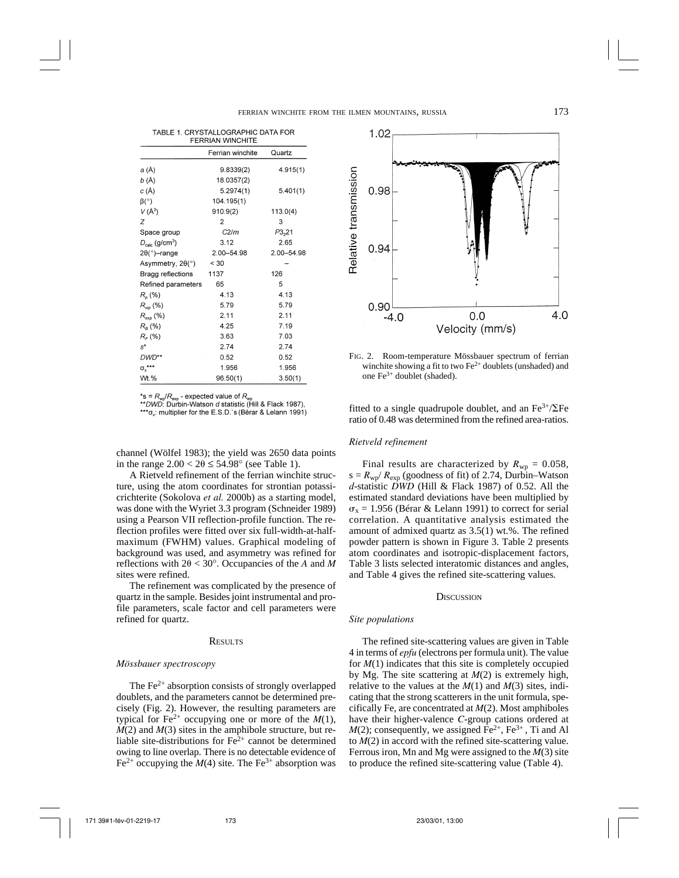|                                        | Ferrian winchite | Quartz     |
|----------------------------------------|------------------|------------|
| a (Å)                                  | 9.8339(2)        | 4.915(1)   |
| b (Å)                                  | 18.0357(2)       |            |
| c (Å)                                  | 5.2974(1)        | 5.401(1)   |
| $\beta$ <sup>o</sup> )                 | 104.195(1)       |            |
| $V(A^3)$                               | 910.9(2)         | 113.0(4)   |
| Z                                      | $\overline{2}$   | 3          |
| Space group                            | C2/m             | P3,21      |
| $D_{\text{calc}}$ (g/cm <sup>3</sup> ) | 3.12             | 2.65       |
| $2\theta$ (°)-range                    | 2.00-54.98       | 2.00-54.98 |
| Asymmetry, $2\theta$ <sup>o</sup> )    | < 30             |            |
| Bragg reflections                      | 1137             | 126        |
| Refined parameters                     | 65               | 5          |
| $R_{p}$ (%)                            | 4.13             | 4.13       |
| $R_{wp}$ (%)                           | 5.79             | 5.79       |
| $R_{exp}$ (%)                          | 2.11             | 2.11       |
| $R_{B}$ (%)                            | 4.25             | 7.19       |
| $R_{F}$ (%)                            | 3.63             | 7.03       |
| $s^*$                                  | 2.74             | 2.74       |
| DWD**                                  | 0.52             | 0.52       |
| $\sigma^{***}_{x}$                     | 1.956            | 1.956      |
| Wt.%                                   | 96.50(1)         | 3.50(1)    |

\*s =  $R_{wp}/R_{exp}$  - expected value of  $R_{wp}$ <br>\*\**DWD*: Durbin-Watson *d* statistic (Hill & Flack 1987),

\*\*\* o.: multiplier for the E.S.D.'s (Berar & Lelann 1991)

channel (Wölfel 1983); the yield was 2650 data points in the range  $2.00 < 2\theta \le 54.98^\circ$  (see Table 1).

A Rietveld refinement of the ferrian winchite structure, using the atom coordinates for strontian potassicrichterite (Sokolova *et al.* 2000b) as a starting model, was done with the Wyriet 3.3 program (Schneider 1989) using a Pearson VII reflection-profile function. The reflection profiles were fitted over six full-width-at-halfmaximum (FWHM) values. Graphical modeling of background was used, and asymmetry was refined for reflections with  $2\theta < 30^\circ$ . Occupancies of the *A* and *M* sites were refined.

The refinement was complicated by the presence of quartz in the sample. Besides joint instrumental and profile parameters, scale factor and cell parameters were refined for quartz.

#### **RESULTS**

#### *Mössbauer spectroscopy*

The  $Fe<sup>2+</sup>$  absorption consists of strongly overlapped doublets, and the parameters cannot be determined precisely (Fig. 2). However, the resulting parameters are typical for  $Fe^{2+}$  occupying one or more of the  $M(1)$ , *M*(2) and *M*(3) sites in the amphibole structure, but reliable site-distributions for  $Fe<sup>2+</sup>$  cannot be determined owing to line overlap. There is no detectable evidence of Fe<sup>2+</sup> occupying the  $M(4)$  site. The Fe<sup>3+</sup> absorption was



FIG. 2. Room-temperature Mössbauer spectrum of ferrian winchite showing a fit to two Fe<sup>2+</sup> doublets (unshaded) and one Fe3+ doublet (shaded).

fitted to a single quadrupole doublet, and an  $Fe^{3+}/\Sigma Fe$ ratio of 0.48 was determined from the refined area-ratios.

# *Rietveld refinement*

Final results are characterized by  $R_{wp} = 0.058$ ,  $s = R_{wp}/R_{exp}$  (goodness of fit) of 2.74, Durbin–Watson *d*-statistic *DWD* (Hill & Flack 1987) of 0.52. All the estimated standard deviations have been multiplied by  $\sigma_{x}$  = 1.956 (Bérar & Lelann 1991) to correct for serial correlation. A quantitative analysis estimated the amount of admixed quartz as 3.5(1) wt.%. The refined powder pattern is shown in Figure 3. Table 2 presents atom coordinates and isotropic-displacement factors, Table 3 lists selected interatomic distances and angles, and Table 4 gives the refined site-scattering values.

### **DISCUSSION**

### *Site populations*

The refined site-scattering values are given in Table 4 in terms of *epfu* (electrons per formula unit). The value for *M*(1) indicates that this site is completely occupied by Mg. The site scattering at *M*(2) is extremely high, relative to the values at the *M*(1) and *M*(3) sites, indicating that the strong scatterers in the unit formula, specifically Fe, are concentrated at *M*(2). Most amphiboles have their higher-valence *C*-group cations ordered at  $M(2)$ ; consequently, we assigned  $\overline{F}e^{2+}$ ,  $\overline{F}e^{3+}$ , Ti and Al to *M*(2) in accord with the refined site-scattering value. Ferrous iron, Mn and Mg were assigned to the *M*(3) site to produce the refined site-scattering value (Table 4).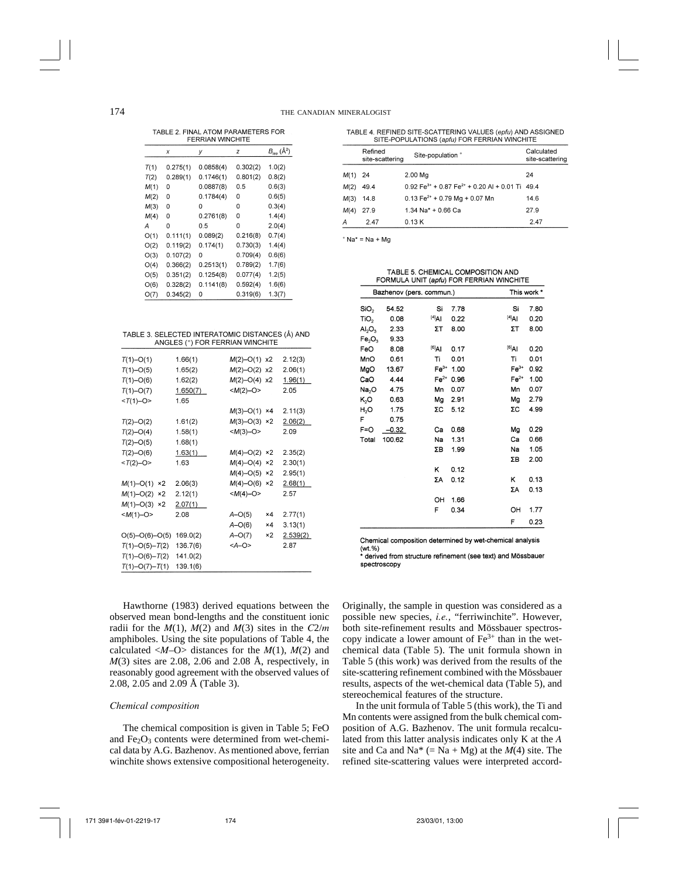TABLE 2 FINAL ATOM PARAMETERS FOR FERRIAN WINCHITE

|      | x        | у         | z        | $B_{iso}$ ( $\AA^2$ ) |  |  |
|------|----------|-----------|----------|-----------------------|--|--|
| T(1) | 0.275(1) | 0.0858(4) | 0.302(2) | 1.0(2)                |  |  |
| T(2) | 0.289(1) | 0.1746(1) | 0.801(2) | 0.8(2)                |  |  |
| M(1) | 0        | 0.0887(8) | 0.5      | 0.6(3)                |  |  |
| M(2) | 0        | 0.1784(4) | 0        | 0.6(5)                |  |  |
| M(3) | 0        | 0         | 0        | 0.3(4)                |  |  |
| M(4) | 0        | 0.2761(8) | 0        | 1.4(4)                |  |  |
| А    | 0        | 0.5       | 0        | 2.0(4)                |  |  |
| O(1) | 0.111(1) | 0.089(2)  | 0.216(8) | 0.7(4)                |  |  |
| O(2) | 0.119(2) | 0.174(1)  | 0.730(3) | 1.4(4)                |  |  |
| O(3) | 0.107(2) | 0         | 0.709(4) | 0.6(6)                |  |  |
| O(4) | 0.366(2) | 0.2513(1) | 0.789(2) | 1.7(6)                |  |  |
| O(5) | 0.351(2) | 0.1254(8) | 0.077(4) | 1.2(5)                |  |  |
| O(6) | 0.328(2) | 0.1141(8) | 0.592(4) | 1.6(6)                |  |  |
| O(7) | 0.345(2) | 0         | 0.319(6) | 1.3(7)                |  |  |
|      |          |           |          |                       |  |  |

| TABLE 3. SELECTED INTERATOMIC DISTANCES (Å) AND |
|-------------------------------------------------|
| ANGLES (°) FOR FERRIAN WINCHITE                 |

| $T(1) - O(1)$       | 1.66(1)  | $M(2)$ -O(1) x2 |                | 2.12(3)  |
|---------------------|----------|-----------------|----------------|----------|
| $T(1) - O(5)$       | 1.65(2)  | $M(2)$ -O(2)    | x <sub>2</sub> | 2.06(1)  |
| $T(1)-O(6)$         | 1.62(2)  | $M(2)$ –O(4)    | x2             | 1.96(1)  |
| $T(1) - O(7)$       | 1.650(7) | $$              |                | 2.05     |
| $<$ T(1)-O>         | 1.65     |                 |                |          |
|                     |          | $M(3)-O(1)$     | ×4             | 2.11(3)  |
| $T(2)$ -O(2)        | 1.61(2)  | $M(3) - O(3)$   | ×2             | 2.06(2)  |
| $T(2)-O(4)$         | 1.58(1)  | $$              |                | 2.09     |
| $T(2)$ –O(5)        | 1.68(1)  |                 |                |          |
| $T(2)$ -O(6)        | 1.63(1)  | $M(4) - O(2)$   | ×2             | 2.35(2)  |
| $T(2)-O$            | 1.63     | $M(4)-O(4)$     | ×2             | 2.30(1)  |
|                     |          | $M(4)-O(5)$     | x2             | 2.95(1)  |
| $M(1) - O(1)$<br>×2 | 2.06(3)  | $M(4)$ -O(6) ×2 |                | 2.68(1)  |
| $M(1) - O(2)$<br>×2 | 2.12(1)  | $$              |                | 2.57     |
| $M(1) - O(3)$<br>×2 | 2.07(1)  |                 |                |          |
| $$                  | 2.08     | $A-O(5)$        | $\times 4$     | 2.77(1)  |
|                     |          | $A-O(6)$        | ×4             | 3.13(1)  |
| $O(5)-O(6)-O(5)$    | 169.0(2) | $A-O(7)$        | ×2             | 2.539(2) |
| $T(1)-O(5)-T(2)$    | 136.7(6) | $<$ A $-$ O>    |                | 2.87     |
| $T(1)-O(6)-T(2)$    | 141.0(2) |                 |                |          |
| $T(1)-O(7)-T(1)$    | 139.1(6) |                 |                |          |

Hawthorne (1983) derived equations between the observed mean bond-lengths and the constituent ionic radii for the  $M(1)$ ,  $M(2)$  and  $M(3)$  sites in the  $C2/m$ amphiboles. Using the site populations of Table 4, the calculated  $\langle M-O \rangle$  distances for the  $M(1)$ ,  $M(2)$  and *M*(3) sites are 2.08, 2.06 and 2.08 Å, respectively, in reasonably good agreement with the observed values of 2.08, 2.05 and 2.09 Å (Table 3).

# *Chemical composition*

The chemical composition is given in Table 5; FeO and  $Fe<sub>2</sub>O<sub>3</sub>$  contents were determined from wet-chemical data by A.G. Bazhenov. As mentioned above, ferrian winchite shows extensive compositional heterogeneity.

TABLE 4 REFINED SITE-SCATTERING VALUES (enfu) AND ASSIGNED SITE-POPULATIONS (apfu) FOR FERRIAN WINCHITE

|           | Refined<br>site-scattering | Site-population *                                                                      | Calculated<br>site-scattering |
|-----------|----------------------------|----------------------------------------------------------------------------------------|-------------------------------|
| $M(1)$ 24 |                            | 2.00 Mg                                                                                | 24                            |
| M(2)      | 49.4                       | $0.92 \text{ Fe}^{3+} + 0.87 \text{ Fe}^{2+} + 0.20 \text{ Al} + 0.01 \text{ Ti}$ 49.4 |                               |
| M(3)      | 14.8                       | $0.13 \text{ Fe}^{2+} + 0.79 \text{ Mg} + 0.07 \text{ Mn}$                             | 14.6                          |
| M(4)      | 27.9                       | $1.34$ Na <sup>*</sup> + 0.66 Ca                                                       | 27.9                          |
| А         | 2.47                       | 0.13K                                                                                  | 2.47                          |

 $A + Na + Ma$ 

TABLE 5. CHEMICAL COMPOSITION AND FORMULA UNIT (apfu) FOR FERRIAN WINCHITE

| Bazhenov (pers. commun.)       |         |                   |      | This work * |      |
|--------------------------------|---------|-------------------|------|-------------|------|
| SiO <sub>2</sub>               | 54.52   | Si                | 7.78 | Si          | 7.80 |
| TiO <sub>2</sub>               | 0.08    | $^{[4]}$ Al       | 0.22 | $[4]$ Al    | 0.20 |
| Al <sub>2</sub> O <sub>3</sub> | 2.33    | ΣT                | 8.00 | ΣT          | 8.00 |
| Fe <sub>2</sub> O <sub>3</sub> | 9.33    |                   |      |             |      |
| FeO                            | 8.08    | <sup>[6]</sup> AI | 0.17 | $^{[6]}$ Al | 0.20 |
| MnO                            | 0.61    | Ti                | 0.01 | Ti          | 0.01 |
| MgO                            | 13.67   | $Fe3+$            | 1.00 | $Fe3+$      | 0.92 |
| CaO                            | 4.44    | $Fe2+$            | 0.96 | $Fe2+$      | 1.00 |
| Na <sub>2</sub> O              | 4.75    | Mn                | 0.07 | Mn          | 0.07 |
| K,O                            | 0.63    | Mg                | 2.91 | Mg          | 2.79 |
| H,O                            | 1.75    | ΣC                | 5.12 | ΣC          | 4.99 |
| F                              | 0.75    |                   |      |             |      |
| $F = O$                        | $-0.32$ | Сa                | 0.68 | Mg          | 0.29 |
| Total                          | 100.62  | Na                | 1.31 | Ca          | 0.66 |
|                                |         | ΣΒ                | 1.99 | Na          | 1.05 |
|                                |         |                   |      | ΣΒ          | 2.00 |
|                                |         | κ                 | 0.12 |             |      |
|                                |         | ΣΑ                | 0.12 | Κ           | 0.13 |
|                                |         |                   |      | ΣΑ          | 0.13 |
|                                |         | OН                | 1.66 |             |      |
|                                |         | F                 | 0.34 | он          | 1.77 |
|                                |         |                   |      | F           | 0.23 |

Chemical composition determined by wet-chemical analysis (wt.%)

\* derived from structure refinement (see text) and Mössbauer spectroscopy

Originally, the sample in question was considered as a possible new species, *i.e.*, "ferriwinchite". However, both site-refinement results and Mössbauer spectroscopy indicate a lower amount of  $Fe<sup>3+</sup>$  than in the wetchemical data (Table 5). The unit formula shown in Table 5 (this work) was derived from the results of the site-scattering refinement combined with the Mössbauer results, aspects of the wet-chemical data (Table 5), and stereochemical features of the structure.

In the unit formula of Table 5 (this work), the Ti and Mn contents were assigned from the bulk chemical composition of A.G. Bazhenov. The unit formula recalculated from this latter analysis indicates only K at the *A* site and Ca and Na<sup>\*</sup> (= Na + Mg) at the  $M(4)$  site. The refined site-scattering values were interpreted accord-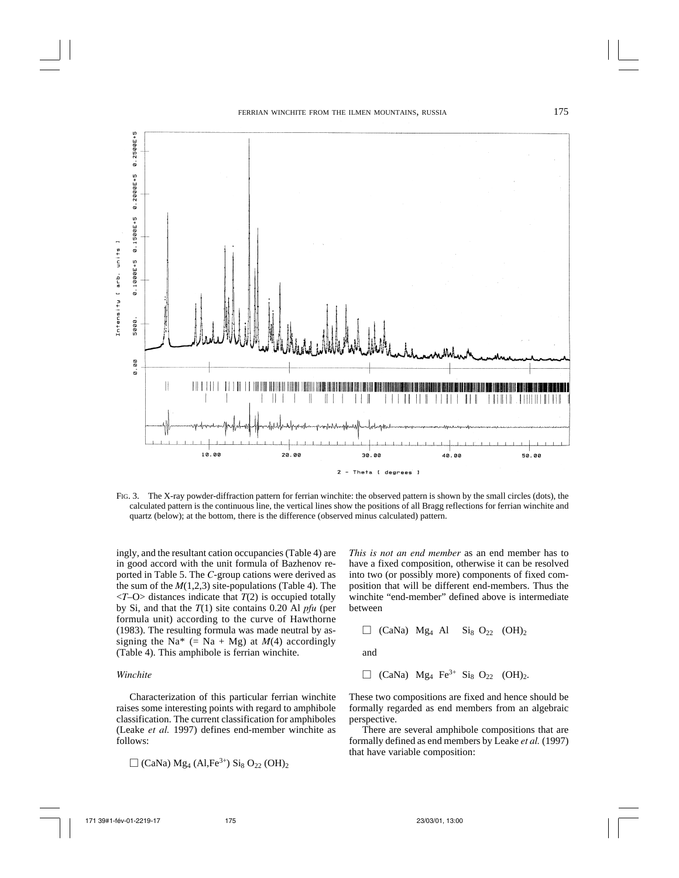

FIG. 3. The X-ray powder-diffraction pattern for ferrian winchite: the observed pattern is shown by the small circles (dots), the calculated pattern is the continuous line, the vertical lines show the positions of all Bragg reflections for ferrian winchite and quartz (below); at the bottom, there is the difference (observed minus calculated) pattern.

ingly, and the resultant cation occupancies (Table 4) are in good accord with the unit formula of Bazhenov reported in Table 5. The *C*-group cations were derived as the sum of the  $M(1,2,3)$  site-populations (Table 4). The <*T*–O> distances indicate that *T*(2) is occupied totally by Si, and that the *T*(1) site contains 0.20 Al *pfu* (per formula unit) according to the curve of Hawthorne (1983). The resulting formula was made neutral by assigning the Na<sup>\*</sup> (= Na + Mg) at  $M(4)$  accordingly (Table 4). This amphibole is ferrian winchite.

# *Winchite*

Characterization of this particular ferrian winchite raises some interesting points with regard to amphibole classification. The current classification for amphiboles (Leake *et al.* 1997) defines end-member winchite as follows:

$$
\Box
$$
 (CaNa) Mg<sub>4</sub> (Al,Fe<sup>3+</sup>) Si<sub>8</sub> O<sub>22</sub> (OH)<sub>2</sub>

*This is not an end member* as an end member has to have a fixed composition, otherwise it can be resolved into two (or possibly more) components of fixed composition that will be different end-members. Thus the winchite "end-member" defined above is intermediate between

$$
\Box
$$
 (CaNa) Mg<sub>4</sub> Al Si<sub>8</sub> O<sub>22</sub> (OH)<sub>2</sub>

and

$$
\Box
$$
 (CaNa) Mg<sub>4</sub> Fe<sup>3+</sup> Si<sub>8</sub> O<sub>22</sub> (OH)<sub>2</sub>.

These two compositions are fixed and hence should be formally regarded as end members from an algebraic perspective.

There are several amphibole compositions that are formally defined as end members by Leake *et al.* (1997) that have variable composition: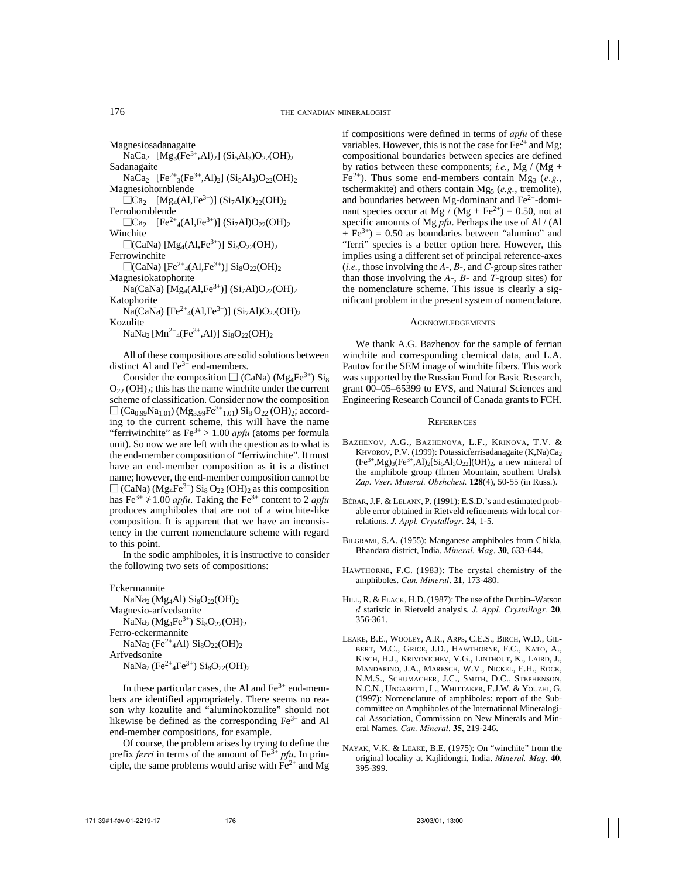Magnesiosadanagaite  $NaCa<sub>2</sub>$   $[Mg<sub>3</sub>(Fe<sup>3+</sup>, Al)<sub>2</sub>]$   $(Si<sub>5</sub>Al<sub>3</sub>)O<sub>22</sub>(OH)<sub>2</sub>$ Sadanagaite  $NaCa<sub>2</sub> [Fe<sup>2+</sup><sub>3</sub>(Fe<sup>3+</sup>, Al)<sub>2</sub>] (Si<sub>5</sub>Al<sub>3</sub>)O<sub>22</sub>(OH)<sub>2</sub>$ Magnesiohornblende  $\overline{\Box}$ Ca<sub>2</sub> [Mg<sub>4</sub>(Al,Fe<sup>3+</sup>)] (Si<sub>7</sub>Al)O<sub>22</sub>(OH)<sub>2</sub> Ferrohornblende  $\Box$ Ca<sub>2</sub> [Fe<sup>2+</sup><sub>4</sub>(Al,Fe<sup>3+</sup>)] (Si<sub>7</sub>Al)O<sub>22</sub>(OH)<sub>2</sub> Winchite  $\Box$ (CaNa) [Mg<sub>4</sub>(Al,Fe<sup>3+</sup>)] Si<sub>8</sub>O<sub>22</sub>(OH)<sub>2</sub> Ferrowinchite  $\Box$ (CaNa) [Fe<sup>2+</sup><sub>4</sub>(Al,Fe<sup>3+</sup>)] Si<sub>8</sub>O<sub>22</sub>(OH)<sub>2</sub> Magnesiokatophorite  $Na(CaNa)$  [Mg<sub>4</sub>(Al,Fe<sup>3+</sup>)] (Si<sub>7</sub>Al)O<sub>22</sub>(OH)<sub>2</sub> Katophorite  $Na(CaNa) [Fe<sup>2+</sup><sub>4</sub>(Al,Fe<sup>3+</sup>)] (Si<sub>7</sub>Al)O<sub>22</sub>(OH)<sub>2</sub>$ Kozulite  $NaNa<sub>2</sub> [Mn<sup>2+</sup><sub>4</sub>(Fe<sup>3+</sup>, Al)] Si<sub>8</sub>O<sub>22</sub>(OH)<sub>2</sub>$ 

All of these compositions are solid solutions between distinct Al and  $Fe<sup>3+</sup>$  end-members.

Consider the composition  $\Box$  (CaNa) (Mg<sub>4</sub>Fe<sup>3+</sup>) Si<sub>8</sub>  $O_{22}$  (OH)<sub>2</sub>; this has the name winchite under the current scheme of classification. Consider now the composition  $\Box$  (Ca<sub>0.99</sub>Na<sub>1.01</sub>) (Mg<sub>3.99</sub>Fe<sup>3+</sup><sub>1.01</sub>) Si<sub>8</sub> O<sub>22</sub> (OH)<sub>2</sub>; according to the current scheme, this will have the name "ferriwinchite" as  $Fe^{3+} > 1.00$  *apfu* (atoms per formula unit). So now we are left with the question as to what is the end-member composition of "ferriwinchite". It must have an end-member composition as it is a distinct name; however, the end-member composition cannot be  $\Box$  (CaNa) (Mg<sub>4</sub>Fe<sup>3+</sup>) Si<sub>8</sub> O<sub>22</sub> (OH)<sub>2</sub> as this composition has  $Fe^{3+} \nless 1.00$  *apfu*. Taking the  $Fe^{3+}$  content to 2 *apfu* produces amphiboles that are not of a winchite-like composition. It is apparent that we have an inconsistency in the current nomenclature scheme with regard to this point.

In the sodic amphiboles, it is instructive to consider the following two sets of compositions:

Eckermannite

NaNa<sub>2</sub> (Mg<sub>4</sub>Al)  $\text{Si}_8\text{O}_{22}(\text{OH})_2$ Magnesio-arfvedsonite  $NaNa<sub>2</sub>(Mg<sub>4</sub>Fe<sup>3+</sup>) Si<sub>8</sub>O<sub>22</sub>(OH)<sub>2</sub>$ Ferro-eckermannite NaNa<sub>2</sub> (Fe<sup>2+</sup><sub>4</sub>Al) Si<sub>8</sub>O<sub>22</sub>(OH)<sub>2</sub> Arfvedsonite  $NaNa<sub>2</sub> (Fe<sup>2+</sup><sub>4</sub>Fe<sup>3+</sup>) Si<sub>8</sub>O<sub>22</sub>(OH)<sub>2</sub>$ 

In these particular cases, the Al and  $Fe<sup>3+</sup>$  end-members are identified appropriately. There seems no reason why kozulite and "aluminokozulite" should not likewise be defined as the corresponding  $Fe<sup>3+</sup>$  and Al end-member compositions, for example.

Of course, the problem arises by trying to define the prefix *ferri* in terms of the amount of Fe<sup>3+</sup> *pfu*. In principle, the same problems would arise with  $Fe<sup>2+</sup>$  and Mg if compositions were defined in terms of *apfu* of these variables. However, this is not the case for  $Fe^{2+}$  and Mg; compositional boundaries between species are defined by ratios between these components; *i.e.*, Mg / (Mg + Fe<sup>2+</sup>). Thus some end-members contain Mg<sub>3</sub> (*e.g.*, tschermakite) and others contain Mg<sub>5</sub> (*e.g.*, tremolite), and boundaries between Mg-dominant and  $Fe<sup>2+</sup>$ -dominant species occur at Mg /  $(Mg + Fe^{2+}) = 0.50$ , not at specific amounts of Mg *pfu*. Perhaps the use of Al / (Al  $+ \text{Fe}^{3+}$ ) = 0.50 as boundaries between "alumino" and "ferri" species is a better option here. However, this implies using a different set of principal reference-axes (*i.e.*, those involving the *A*-, *B*-, and *C*-group sites rather than those involving the *A*-, *B*- and *T*-group sites) for the nomenclature scheme. This issue is clearly a significant problem in the present system of nomenclature.

# ACKNOWLEDGEMENTS

We thank A.G. Bazhenov for the sample of ferrian winchite and corresponding chemical data, and L.A. Pautov for the SEM image of winchite fibers. This work was supported by the Russian Fund for Basic Research, grant 00–05–65399 to EVS, and Natural Sciences and Engineering Research Council of Canada grants to FCH.

# **REFERENCES**

- BAZHENOV, A.G., BAZHENOVA, L.F., KRINOVA, T.V. & KHVOROV, P.V. (1999): Potassicferrisadanagaite (K,Na)Ca<sub>2</sub>  $(Fe^{3+}, Mg)_3(Fe^{3+}, Al)_2[Si_5Al_3O_{22}] (OH)_2$ , a new mineral of the amphibole group (Ilmen Mountain, southern Urals). *Zap. Vser. Mineral. Obshchest.* **128**(4), 50-55 (in Russ.).
- BÉRAR, J.F. & LELANN, P. (1991): E.S.D.'s and estimated probable error obtained in Rietveld refinements with local correlations. *J. Appl. Crystallogr*. **24**, 1-5.
- BILGRAMI, S.A. (1955): Manganese amphiboles from Chikla, Bhandara district, India. *Mineral. Mag*. **30**, 633-644.
- HAWTHORNE, F.C. (1983): The crystal chemistry of the amphiboles. *Can. Mineral*. **21**, 173-480.
- HILL, R. & FLACK, H.D. (1987): The use of the Durbin–Watson *d* statistic in Rietveld analysis*. J. Appl. Crystallogr.* **20**, 356-361.
- LEAKE, B.E., WOOLEY, A.R., ARPS, C.E.S., BIRCH, W.D., GIL-BERT, M.C., GRICE, J.D., HAWTHORNE, F.C., KATO, A., KISCH, H.J., KRIVOVICHEV, V.G., LINTHOUT, K., LAIRD, J., MANDARINO, J.A., MARESCH, W.V., NICKEL, E.H., ROCK, N.M.S., SCHUMACHER, J.C., SMITH, D.C., STEPHENSON, N.C.N., UNGARETTI, L., WHITTAKER, E.J.W. & YOUZHI, G. (1997): Nomenclature of amphiboles: report of the Subcommittee on Amphiboles of the International Mineralogical Association, Commission on New Minerals and Mineral Names. *Can. Mineral*. **35**, 219-246.
- NAYAK, V.K. & LEAKE, B.E. (1975): On "winchite" from the original locality at Kajlidongri, India. *Mineral. Mag*. **40**, 395-399.